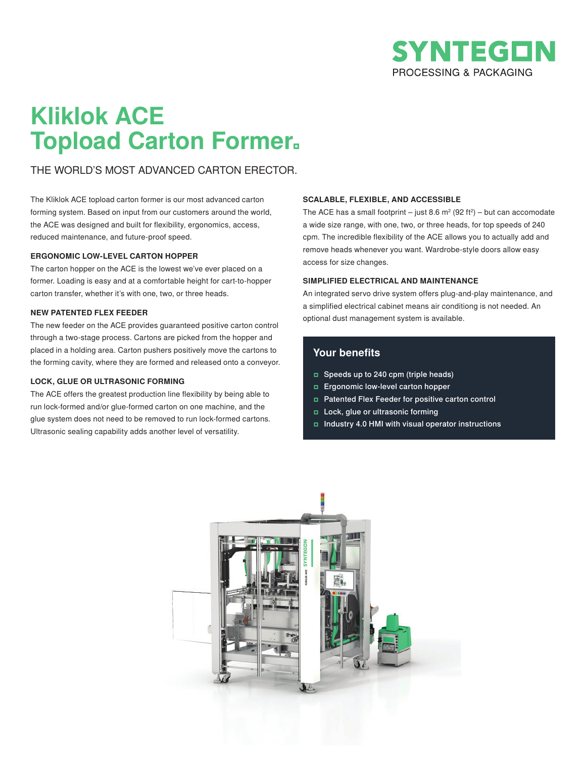

## **Kliklok ACE Topload Carton Former**

## THE WORLD'S MOST ADVANCED CARTON ERECTOR.

The Kliklok ACE topload carton former is our most advanced carton forming system. Based on input from our customers around the world, the ACE was designed and built for flexibility, ergonomics, access, reduced maintenance, and future-proof speed.

### **ERGONOMIC LOW-LEVEL CARTON HOPPER**

The carton hopper on the ACE is the lowest we've ever placed on a former. Loading is easy and at a comfortable height for cart-to-hopper carton transfer, whether it's with one, two, or three heads.

## **NEW PATENTED FLEX FEEDER**

The new feeder on the ACE provides guaranteed positive carton control through a two-stage process. Cartons are picked from the hopper and placed in a holding area. Carton pushers positively move the cartons to the forming cavity, where they are formed and released onto a conveyor.

## **LOCK, GLUE OR ULTRASONIC FORMING**

The ACE offers the greatest production line flexibility by being able to run lock-formed and/or glue-formed carton on one machine, and the glue system does not need to be removed to run lock-formed cartons. Ultrasonic sealing capability adds another level of versatility.

### **SCALABLE, FLEXIBLE, AND ACCESSIBLE**

The ACE has a small footprint – just 8.6 m<sup>2</sup> (92 ft<sup>2</sup>) – but can accomodate a wide size range, with one, two, or three heads, for top speeds of 240 cpm. The incredible flexibility of the ACE allows you to actually add and remove heads whenever you want. Wardrobe-style doors allow easy access for size changes.

### **SIMPLIFIED ELECTRICAL AND MAINTENANCE**

An integrated servo drive system offers plug-and-play maintenance, and a simplified electrical cabinet means air conditiong is not needed. An optional dust management system is available.

## **Your benefits**

- Speeds up to 240 cpm (triple heads)
- Ergonomic low-level carton hopper
- Patented Flex Feeder for positive carton control
- Lock, glue or ultrasonic forming
- Industry 4.0 HMI with visual operator instructions